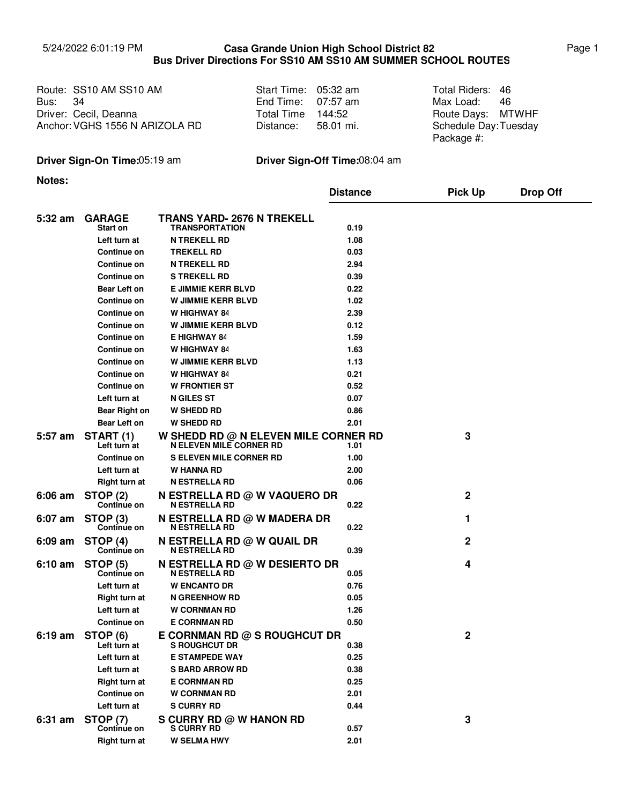## 5/24/2022 6:01:19 PM Page 1 **Casa Grande Union High School District 82 Bus Driver Directions For SS10 AM SS10 AM SUMMER SCHOOL ROUTES**

Route: SS10 AM SS10 AM Start Time: 05:32 am Total Riders: Bus: Driver: Route Days: Cecil, Deanna Anchor: VGHS 1556 N ARIZOLA RD 34

| Start Time: | 05:32 am  |
|-------------|-----------|
| End Time:   | 07:57 am  |
| Total Time: | 144:52    |
| Distance:   | 58.01 mi. |

Max Load: Total Riders: 46 46 Route Days: MTWHF Schedule Day: Tuesday Package #:

# **Driver Sign-On Time:**05:19 am **Driver Sign-Off Time:**08:04 am

**Notes:**

|                   |                                       |                                                                        | <b>Distance</b> | <b>Pick Up</b> | <b>Drop Off</b> |
|-------------------|---------------------------------------|------------------------------------------------------------------------|-----------------|----------------|-----------------|
| 5:32 am           | <b>GARAGE</b><br>Start on             | <b>TRANS YARD- 2676 N TREKELL</b><br><b>TRANSPORTATION</b>             | 0.19            |                |                 |
|                   | Left turn at                          | <b>N TREKELL RD</b>                                                    | 1.08            |                |                 |
|                   | <b>Continue on</b>                    | <b>TREKELL RD</b>                                                      | 0.03            |                |                 |
|                   | <b>Continue on</b>                    | <b>N TREKELL RD</b>                                                    | 2.94            |                |                 |
|                   | Continue on                           | <b>S TREKELL RD</b>                                                    | 0.39            |                |                 |
|                   | Bear Left on                          | <b>E JIMMIE KERR BLVD</b>                                              | 0.22            |                |                 |
|                   | <b>Continue on</b>                    | <b>W JIMMIE KERR BLVD</b>                                              | 1.02            |                |                 |
|                   | <b>Continue on</b>                    | <b>W HIGHWAY 84</b>                                                    | 2.39            |                |                 |
|                   | <b>Continue on</b>                    | <b>W JIMMIE KERR BLVD</b>                                              | 0.12            |                |                 |
|                   | <b>Continue on</b>                    | <b>E HIGHWAY 84</b>                                                    | 1.59            |                |                 |
|                   | <b>Continue on</b>                    | <b>W HIGHWAY 84</b>                                                    | 1.63            |                |                 |
|                   | <b>Continue on</b>                    | <b>W JIMMIE KERR BLVD</b>                                              | 1.13            |                |                 |
|                   | Continue on                           | W HIGHWAY 84                                                           | 0.21            |                |                 |
|                   | Continue on                           | <b>W FRONTIER ST</b>                                                   | 0.52            |                |                 |
|                   | Left turn at                          | <b>N GILES ST</b>                                                      | 0.07            |                |                 |
|                   | Bear Right on                         | <b>W SHEDD RD</b>                                                      | 0.86            |                |                 |
|                   | Bear Left on                          | <b>W SHEDD RD</b>                                                      | 2.01            |                |                 |
| 5:57 am           | START (1)<br>Left turn at             | W SHEDD RD @ N ELEVEN MILE CORNER RD<br><b>N ELEVEN MILE CORNER RD</b> | 1.01            | 3              |                 |
|                   | Continue on                           | <b>S ELEVEN MILE CORNER RD</b>                                         | 1.00            |                |                 |
|                   | Left turn at                          | <b>W HANNA RD</b>                                                      | 2.00            |                |                 |
|                   | <b>Right turn at</b>                  | <b>N ESTRELLA RD</b>                                                   | 0.06            |                |                 |
| $6:06$ am         | STOP (2)<br><b>Continue on</b>        | <b>N ESTRELLA RD @ W VAQUERO DR</b><br><b>N ESTRELLA RD</b>            | 0.22            | $\mathbf 2$    |                 |
| 6:07 am           | STOP <sub>(3)</sub><br>Continue on    | N ESTRELLA RD @ W MADERA DR<br><b>N ESTRELLA RD</b>                    | 0.22            | 1              |                 |
| 6:09 am           | <b>STOP (4)</b><br>Continue on        | N ESTRELLA RD @ W QUAIL DR<br><b>N ESTRELLA RD</b>                     | 0.39            | $\mathbf{2}$   |                 |
| $6:10 \text{ am}$ | <b>STOP (5)</b><br><b>Continue on</b> | <b>N ESTRELLA RD @ W DESIERTO DR</b><br><b>N ESTRELLA RD</b>           | 0.05            | 4              |                 |
|                   | Left turn at                          | <b>W ENCANTO DR</b>                                                    | 0.76            |                |                 |
|                   | <b>Right turn at</b>                  | <b>N GREENHOW RD</b>                                                   | 0.05            |                |                 |
|                   | Left turn at                          | <b>W CORNMAN RD</b>                                                    | 1.26            |                |                 |
|                   | <b>Continue on</b>                    | <b>E CORNMAN RD</b>                                                    | 0.50            |                |                 |
| $6:19$ am         | STOP (6)<br>Left turn at              | E CORNMAN RD @ S ROUGHCUT DR<br><b>S ROUGHCUT DR</b>                   | 0.38            | $\mathbf 2$    |                 |
|                   | Left turn at                          | <b>E STAMPEDE WAY</b>                                                  | 0.25            |                |                 |
|                   | Left turn at                          | <b>S BARD ARROW RD</b>                                                 | 0.38            |                |                 |
|                   | <b>Right turn at</b>                  | <b>E CORNMAN RD</b>                                                    | 0.25            |                |                 |
|                   | Continue on                           | <b>W CORNMAN RD</b>                                                    | 2.01            |                |                 |
|                   | Left turn at                          | <b>S CURRY RD</b>                                                      | 0.44            |                |                 |
| 6:31 am           | <b>STOP (7)</b><br>Continue on        | S CURRY RD @ W HANON RD<br><b>S CURRY RD</b>                           | 0.57            | 3              |                 |
|                   | <b>Right turn at</b>                  | <b>W SELMA HWY</b>                                                     | 2.01            |                |                 |
|                   |                                       |                                                                        |                 |                |                 |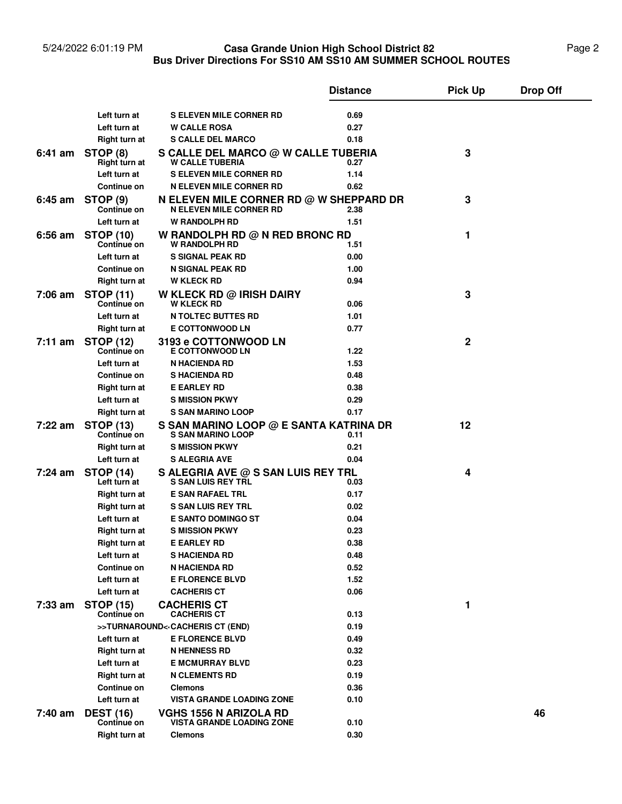#### 5/24/2022 6:01:19 PM **Casa Grande Union High School District 82** Page 2 **Bus Driver Directions For SS10 AM SS10 AM SUMMER SCHOOL ROUTES Casa Grande Union High School District 82**

|           |                                        |                                                                           | <b>Distance</b> | <b>Pick Up</b> | <b>Drop Off</b> |
|-----------|----------------------------------------|---------------------------------------------------------------------------|-----------------|----------------|-----------------|
|           |                                        |                                                                           |                 |                |                 |
|           | Left turn at                           | <b>S ELEVEN MILE CORNER RD</b>                                            | 0.69            |                |                 |
|           | Left turn at                           | <b>W CALLE ROSA</b>                                                       | 0.27            |                |                 |
|           | Right turn at                          | <b>S CALLE DEL MARCO</b>                                                  | 0.18            |                |                 |
|           | 6:41 am STOP (8)<br>Right turn at      | S CALLE DEL MARCO @ W CALLE TUBERIA<br><b>W CALLE TUBERIA</b>             | 0.27            | 3              |                 |
|           | Left turn at                           | <b>S ELEVEN MILE CORNER RD</b>                                            | 1.14            |                |                 |
|           | <b>Continue on</b>                     | <b>N ELEVEN MILE CORNER RD</b>                                            | 0.62            |                |                 |
| 6:45 am   | <b>STOP (9)</b><br><b>Continue on</b>  | N ELEVEN MILE CORNER RD @ W SHEPPARD DR<br><b>N ELEVEN MILE CORNER RD</b> | 2.38            | 3              |                 |
|           | Left turn at                           | <b>W RANDOLPH RD</b>                                                      | 1.51            |                |                 |
| $6:56$ am | <b>STOP (10)</b><br>Continue on        | W RANDOLPH RD @ N RED BRONC RD<br><b>W RANDOLPH RD</b>                    | 1.51            | 1              |                 |
|           | Left turn at                           | <b>S SIGNAL PEAK RD</b>                                                   | 0.00            |                |                 |
|           | <b>Continue on</b>                     | N SIGNAL PEAK RD                                                          | 1.00            |                |                 |
|           | <b>Right turn at</b>                   | <b>W KLECK RD</b>                                                         | 0.94            |                |                 |
| 7:06 am   | <b>STOP (11)</b><br>Continue on        | <b>W KLECK RD @ IRISH DAIRY</b><br><b>W KLECK RD</b>                      | 0.06            | 3              |                 |
|           | Left turn at                           | <b>N TOLTEC BUTTES RD</b>                                                 | 1.01            |                |                 |
|           | Right turn at                          | <b>E COTTONWOOD LN</b>                                                    | 0.77            |                |                 |
| 7:11 am   | <b>STOP (12)</b><br><b>Continue on</b> | <b>3193 e COTTONWOOD LN</b><br><b>E COTTONWOOD LN</b>                     | 1.22            | $\mathbf 2$    |                 |
|           | Left turn at                           | <b>N HACIENDA RD</b>                                                      | 1.53            |                |                 |
|           | <b>Continue on</b>                     | <b>SHACIENDA RD</b>                                                       | 0.48            |                |                 |
|           | Right turn at                          | <b>E EARLEY RD</b>                                                        | 0.38            |                |                 |
|           | Left turn at                           | <b>S MISSION PKWY</b>                                                     | 0.29            |                |                 |
|           | Right turn at                          | <b>S SAN MARINO LOOP</b>                                                  | 0.17            |                |                 |
| 7:22 am   | <b>STOP (13)</b><br><b>Continue on</b> | S SAN MARINO LOOP @ E SANTA KATRINA DR<br><b>S SAN MARINO LOOP</b>        | 0.11            | 12             |                 |
|           | Right turn at                          | <b>S MISSION PKWY</b>                                                     | 0.21            |                |                 |
|           | Left turn at                           | <b>S ALEGRIA AVE</b>                                                      | 0.04            |                |                 |
| 7:24 am   | <b>STOP (14)</b><br>Left turn at       | S ALEGRIA AVE @ S SAN LUIS REY TRL<br><b>S SAN LUIS REY TRL</b>           | 0.03            | 4              |                 |
|           | Right turn at                          | <b>E SAN RAFAEL TRL</b>                                                   | 0.17            |                |                 |
|           | Right turn at                          | <b>S SAN LUIS REY TRL</b>                                                 | 0.02            |                |                 |
|           | Left turn at                           | <b>E SANTO DOMINGO ST</b>                                                 | 0.04            |                |                 |
|           | Right turn at                          | <b>S MISSION PKWY</b>                                                     | 0.23            |                |                 |
|           | Right turn at                          | <b>E EARLEY RD</b>                                                        | 0.38            |                |                 |
|           | Left turn at                           | <b>S HACIENDA RD</b>                                                      | 0.48            |                |                 |
|           | Continue on                            | <b>N HACIENDA RD</b>                                                      | 0.52            |                |                 |
|           | Left turn at                           | <b>E FLORENCE BLVD</b>                                                    | 1.52            |                |                 |
|           | Left turn at                           | <b>CACHERIS CT</b>                                                        | 0.06            |                |                 |
| $7:33$ am | <b>STOP (15)</b><br>Continue on        | <b>CACHERIS CT</b><br><b>CACHERIS CT</b>                                  | 0.13            | 1              |                 |
|           |                                        | >>TURNAROUND<< CACHERIS CT (END)                                          | 0.19            |                |                 |
|           | Left turn at                           | <b>E FLORENCE BLVD</b>                                                    | 0.49            |                |                 |
|           | Right turn at                          | <b>N HENNESS RD</b>                                                       | 0.32            |                |                 |
|           | Left turn at                           | <b>E MCMURRAY BLVD</b>                                                    | 0.23            |                |                 |
|           | Right turn at                          | <b>N CLEMENTS RD</b>                                                      | 0.19            |                |                 |
|           | Continue on                            | <b>Clemons</b>                                                            | 0.36            |                |                 |
|           | Left turn at                           | VISTA GRANDE LOADING ZONE                                                 | 0.10            |                |                 |
| 7:40 am   | <b>DEST (16)</b><br>Continue on        | <b>VGHS 1556 N ARIZOLA RD</b><br><b>VISTA GRANDE LOADING ZONE</b>         | 0.10            |                | 46              |
|           | <b>Right turn at</b>                   | <b>Clemons</b>                                                            | 0.30            |                |                 |